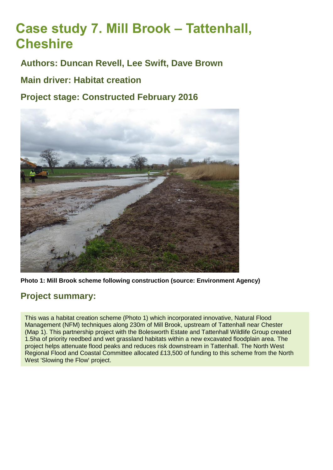# **Case study 7. Mill Brook – Tattenhall, Cheshire**

**Authors: Duncan Revell, Lee Swift, Dave Brown**

**Main driver: Habitat creation**

**Project stage: Constructed February 2016**



**Photo 1: Mill Brook scheme following construction (source: Environment Agency)**

# **Project summary:**

This was a habitat creation scheme (Photo 1) which incorporated innovative, Natural Flood Management (NFM) techniques along 230m of Mill Brook, upstream of Tattenhall near Chester (Map 1). This partnership project with the Bolesworth Estate and Tattenhall Wildlife Group created 1.5ha of priority reedbed and wet grassland habitats within a new excavated floodplain area. The project helps attenuate flood peaks and reduces risk downstream in Tattenhall. The North West Regional Flood and Coastal Committee allocated £13,500 of funding to this scheme from the North West 'Slowing the Flow' project.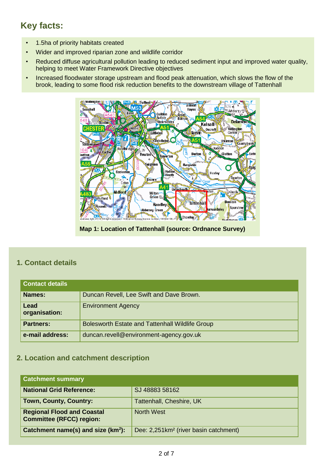# **Key facts:**

- 1.5ha of priority habitats created
- Wider and improved riparian zone and wildlife corridor
- Reduced diffuse agricultural pollution leading to reduced sediment input and improved water quality, helping to meet Water Framework Directive objectives
- Increased floodwater storage upstream and flood peak attenuation, which slows the flow of the brook, leading to some flood risk reduction benefits to the downstream village of Tattenhall



**Map 1: Location of Tattenhall (source: Ordnance Survey)**

## **1. Contact details**

| <b>Contact details</b> |                                                 |
|------------------------|-------------------------------------------------|
| Names:                 | Duncan Revell, Lee Swift and Dave Brown.        |
| Lead<br>organisation:  | <b>Environment Agency</b>                       |
| <b>Partners:</b>       | Bolesworth Estate and Tattenhall Wildlife Group |
| e-mail address:        | duncan.revell@environment-agency.gov.uk         |

# **2. Location and catchment description**

| <b>Catchment summary</b>                                             |                                                   |
|----------------------------------------------------------------------|---------------------------------------------------|
| <b>National Grid Reference:</b>                                      | SJ 48883 58162                                    |
| <b>Town, County, Country:</b>                                        | Tattenhall, Cheshire, UK                          |
| <b>Regional Flood and Coastal</b><br><b>Committee (RFCC) region:</b> | <b>North West</b>                                 |
| Catchment name(s) and size $(km^2)$ :                                | Dee: 2,251km <sup>2</sup> (river basin catchment) |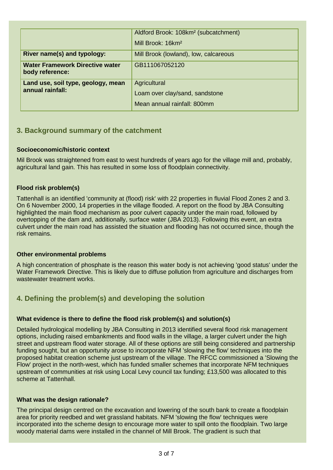|                                                           | Aldford Brook: 108km <sup>2</sup> (subcatchment) |
|-----------------------------------------------------------|--------------------------------------------------|
|                                                           | Mill Brook: 16km <sup>2</sup>                    |
| River name(s) and typology:                               | Mill Brook (lowland), low, calcareous            |
| <b>Water Framework Directive water</b><br>body reference: | GB111067052120                                   |
| Land use, soil type, geology, mean<br>annual rainfall:    | Agricultural                                     |
|                                                           | Loam over clay/sand, sandstone                   |
|                                                           | Mean annual rainfall: 800mm                      |

#### **3. Background summary of the catchment**

#### **Socioeconomic/historic context**

Mil Brook was straightened from east to west hundreds of years ago for the village mill and, probably, agricultural land gain. This has resulted in some loss of floodplain connectivity.

#### **Flood risk problem(s)**

Tattenhall is an identified 'community at (flood) risk' with 22 properties in fluvial Flood Zones 2 and 3. On 6 November 2000, 14 properties in the village flooded. A report on the flood by JBA Consulting highlighted the main flood mechanism as poor culvert capacity under the main road, followed by overtopping of the dam and, additionally, surface water (JBA 2013). Following this event, an extra culvert under the main road has assisted the situation and flooding has not occurred since, though the risk remains.

#### **Other environmental problems**

A high concentration of phosphate is the reason this water body is not achieving 'good status' under the Water Framework Directive. This is likely due to diffuse pollution from agriculture and discharges from wastewater treatment works.

# **4. Defining the problem(s) and developing the solution**

#### **What evidence is there to define the flood risk problem(s) and solution(s)**

Detailed hydrological modelling by JBA Consulting in 2013 identified several flood risk management options, including raised embankments and flood walls in the village, a larger culvert under the high street and upstream flood water storage. All of these options are still being considered and partnership funding sought, but an opportunity arose to incorporate NFM 'slowing the flow' techniques into the proposed habitat creation scheme just upstream of the village. The RFCC commissioned a 'Slowing the Flow' project in the north-west, which has funded smaller schemes that incorporate NFM techniques upstream of communities at risk using Local Levy council tax funding; £13,500 was allocated to this scheme at Tattenhall.

#### **What was the design rationale?**

The principal design centred on the excavation and lowering of the south bank to create a floodplain area for priority reedbed and wet grassland habitats. NFM 'slowing the flow' techniques were incorporated into the scheme design to encourage more water to spill onto the floodplain. Two large woody material dams were installed in the channel of Mill Brook. The gradient is such that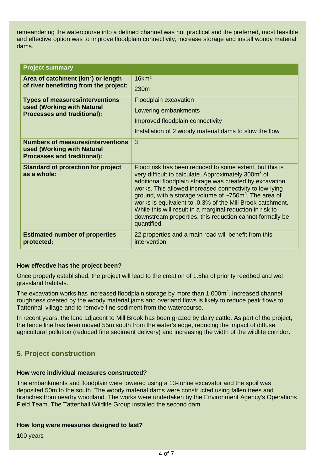remeandering the watercourse into a defined channel was not practical and the preferred, most feasible and effective option was to improve floodplain connectivity, increase storage and install woody material dams.

| <b>Project summary</b>                                                                                       |                                                                                                                                                                                                                                                                                                                                                                                                                                                                                                                                  |  |
|--------------------------------------------------------------------------------------------------------------|----------------------------------------------------------------------------------------------------------------------------------------------------------------------------------------------------------------------------------------------------------------------------------------------------------------------------------------------------------------------------------------------------------------------------------------------------------------------------------------------------------------------------------|--|
| Area of catchment (km <sup>2</sup> ) or length                                                               | 16km <sup>2</sup>                                                                                                                                                                                                                                                                                                                                                                                                                                                                                                                |  |
| of river benefitting from the project:                                                                       | 230 <sub>m</sub>                                                                                                                                                                                                                                                                                                                                                                                                                                                                                                                 |  |
| <b>Types of measures/interventions</b>                                                                       | <b>Floodplain excavation</b>                                                                                                                                                                                                                                                                                                                                                                                                                                                                                                     |  |
| used (Working with Natural<br><b>Processes and traditional):</b>                                             | Lowering embankments                                                                                                                                                                                                                                                                                                                                                                                                                                                                                                             |  |
|                                                                                                              | Improved floodplain connectivity                                                                                                                                                                                                                                                                                                                                                                                                                                                                                                 |  |
|                                                                                                              | Installation of 2 woody material dams to slow the flow                                                                                                                                                                                                                                                                                                                                                                                                                                                                           |  |
| <b>Numbers of measures/interventions</b><br>used (Working with Natural<br><b>Processes and traditional):</b> | 3                                                                                                                                                                                                                                                                                                                                                                                                                                                                                                                                |  |
| <b>Standard of protection for project</b><br>as a whole:                                                     | Flood risk has been reduced to some extent, but this is<br>very difficult to calculate. Approximately 300m <sup>3</sup> of<br>additional floodplain storage was created by excavation<br>works. This allowed increased connectivity to low-lying<br>ground, with a storage volume of $\sim$ 750m <sup>3</sup> . The area of<br>works is equivalent to .0.3% of the Mill Brook catchment.<br>While this will result in a marginal reduction in risk to<br>downstream properties, this reduction cannot formally be<br>quantified. |  |
| <b>Estimated number of properties</b><br>protected:                                                          | 22 properties and a main road will benefit from this<br>intervention                                                                                                                                                                                                                                                                                                                                                                                                                                                             |  |

#### **How effective has the project been?**

Once properly established, the project will lead to the creation of 1.5ha of priority reedbed and wet grassland habitats.

The excavation works has increased floodplain storage by more than 1,000m<sup>3</sup>. Increased channel roughness created by the woody material jams and overland flows is likely to reduce peak flows to Tattenhall village and to remove fine sediment from the watercourse.

In recent years, the land adjacent to Mill Brook has been grazed by dairy cattle. As part of the project, the fence line has been moved 55m south from the water's edge, reducing the impact of diffuse agricultural pollution (reduced fine sediment delivery) and increasing the width of the wildlife corridor.

#### **5. Project construction**

#### **How were individual measures constructed?**

The embankments and floodplain were lowered using a 13-tonne excavator and the spoil was deposited 50m to the south. The woody material dams were constructed using fallen trees and branches from nearby woodland. The works were undertaken by the Environment Agency's Operations Field Team. The Tattenhall Wildlife Group installed the second dam.

#### **How long were measures designed to last?**

100 years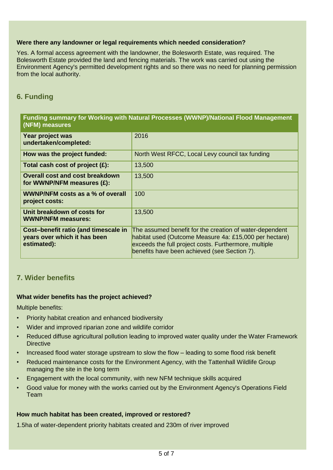#### **Were there any landowner or legal requirements which needed consideration?**

Yes. A formal access agreement with the landowner, the Bolesworth Estate, was required. The Bolesworth Estate provided the land and fencing materials. The work was carried out using the Environment Agency's permitted development rights and so there was no need for planning permission from the local authority.

# **6. Funding**

#### **Funding summary for Working with Natural Processes (WWNP)/National Flood Management (NFM) measures**

| Year project was<br>undertaken/completed:                                           | 2016                                                                                                                                                                                                                       |
|-------------------------------------------------------------------------------------|----------------------------------------------------------------------------------------------------------------------------------------------------------------------------------------------------------------------------|
| How was the project funded:                                                         | North West RFCC, Local Levy council tax funding                                                                                                                                                                            |
| Total cash cost of project $(E)$ :                                                  | 13,500                                                                                                                                                                                                                     |
| <b>Overall cost and cost breakdown</b><br>for WWNP/NFM measures (£):                | 13,500                                                                                                                                                                                                                     |
| <b>WWNP/NFM costs as a % of overall</b><br>project costs:                           | 100                                                                                                                                                                                                                        |
| Unit breakdown of costs for<br><b>WWNP/NFM measures:</b>                            | 13,500                                                                                                                                                                                                                     |
| Cost-benefit ratio (and timescale in<br>years over which it has been<br>estimated): | The assumed benefit for the creation of water-dependent<br>habitat used (Outcome Measure 4a: £15,000 per hectare)<br>exceeds the full project costs. Furthermore, multiple<br>benefits have been achieved (see Section 7). |

### **7. Wider benefits**

#### **What wider benefits has the project achieved?**

Multiple benefits:

- Priority habitat creation and enhanced biodiversity
- Wider and improved riparian zone and wildlife corridor
- Reduced diffuse agricultural pollution leading to improved water quality under the Water Framework **Directive**
- Increased flood water storage upstream to slow the flow leading to some flood risk benefit
- Reduced maintenance costs for the Environment Agency, with the Tattenhall Wildlife Group managing the site in the long term
- Engagement with the local community, with new NFM technique skills acquired
- Good value for money with the works carried out by the Environment Agency's Operations Field Team

#### **How much habitat has been created, improved or restored?**

1.5ha of water-dependent priority habitats created and 230m of river improved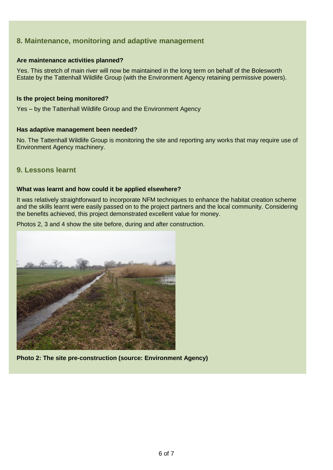## **8. Maintenance, monitoring and adaptive management**

#### **Are maintenance activities planned?**

Yes. This stretch of main river will now be maintained in the long term on behalf of the Bolesworth Estate by the Tattenhall Wildlife Group (with the Environment Agency retaining permissive powers).

#### **Is the project being monitored?**

Yes – by the Tattenhall Wildlife Group and the Environment Agency

#### **Has adaptive management been needed?**

No. The Tattenhall Wildlife Group is monitoring the site and reporting any works that may require use of Environment Agency machinery.

#### **9. Lessons learnt**

#### **What was learnt and how could it be applied elsewhere?**

It was relatively straightforward to incorporate NFM techniques to enhance the habitat creation scheme and the skills learnt were easily passed on to the project partners and the local community. Considering the benefits achieved, this project demonstrated excellent value for money.

Photos 2, 3 and 4 show the site before, during and after construction.



**Photo 2: The site pre-construction (source: Environment Agency)**